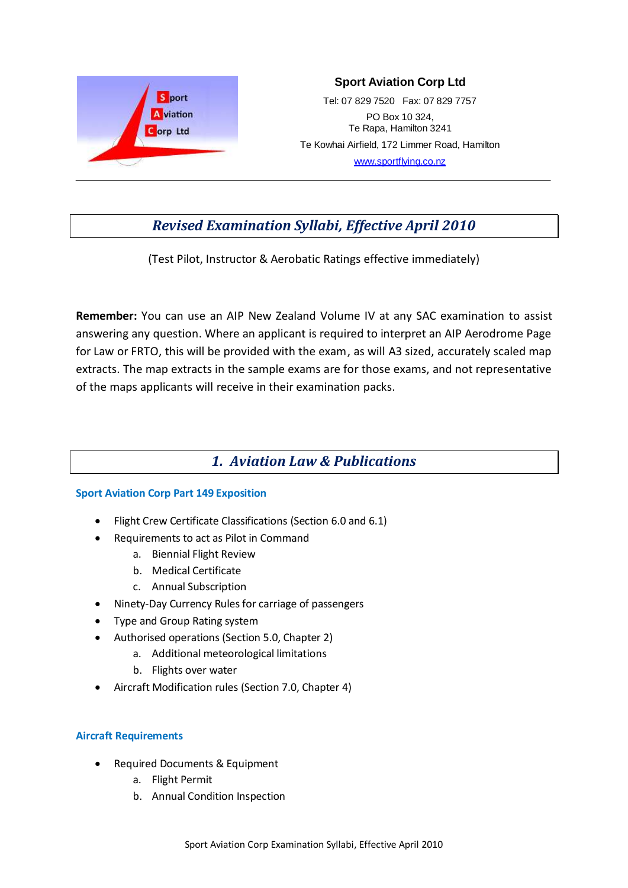

## **Sport Aviation Corp Ltd**

Tel: 07 829 7520 Fax: 07 829 7757 PO Box 10 324, Te Rapa, Hamilton 3241 Te Kowhai Airfield, 172 Limmer Road, Hamilton [www.sportflying.co.nz](http://www.sportflying.co.nz/)

# *Revised Examination Syllabi, Effective April 2010*

(Test Pilot, Instructor & Aerobatic Ratings effective immediately)

**Remember:** You can use an AIP New Zealand Volume IV at any SAC examination to assist answering any question. Where an applicant is required to interpret an AIP Aerodrome Page for Law or FRTO, this will be provided with the exam, as will A3 sized, accurately scaled map extracts. The map extracts in the sample exams are for those exams, and not representative of the maps applicants will receive in their examination packs.

# *1. Aviation Law & Publications*

## **Sport Aviation Corp Part 149 Exposition**

- Flight Crew Certificate Classifications (Section 6.0 and 6.1)
- Requirements to act as Pilot in Command
	- a. Biennial Flight Review
	- b. Medical Certificate
	- c. Annual Subscription
- Ninety-Day Currency Rules for carriage of passengers
- Type and Group Rating system
- Authorised operations (Section 5.0, Chapter 2)
	- a. Additional meteorological limitations
	- b. Flights over water
- Aircraft Modification rules (Section 7.0, Chapter 4)

## **Aircraft Requirements**

- Required Documents & Equipment
	- a. Flight Permit
	- b. Annual Condition Inspection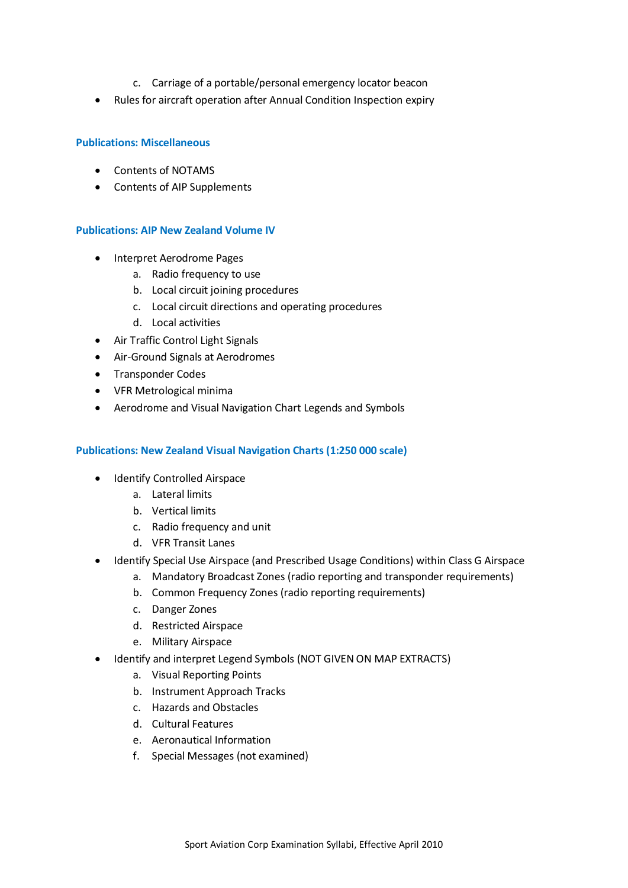- c. Carriage of a portable/personal emergency locator beacon
- Rules for aircraft operation after Annual Condition Inspection expiry

### **Publications: Miscellaneous**

- Contents of NOTAMS
- Contents of AIP Supplements

#### **Publications: AIP New Zealand Volume IV**

- Interpret Aerodrome Pages
	- a. Radio frequency to use
	- b. Local circuit joining procedures
	- c. Local circuit directions and operating procedures
	- d. Local activities
- Air Traffic Control Light Signals
- Air-Ground Signals at Aerodromes
- Transponder Codes
- VFR Metrological minima
- Aerodrome and Visual Navigation Chart Legends and Symbols

#### **Publications: New Zealand Visual Navigation Charts (1:250 000 scale)**

- Identify Controlled Airspace
	- a. Lateral limits
	- b. Vertical limits
	- c. Radio frequency and unit
	- d. VFR Transit Lanes
- Identify Special Use Airspace (and Prescribed Usage Conditions) within Class G Airspace
	- a. Mandatory Broadcast Zones (radio reporting and transponder requirements)
	- b. Common Frequency Zones (radio reporting requirements)
	- c. Danger Zones
	- d. Restricted Airspace
	- e. Military Airspace
- Identify and interpret Legend Symbols (NOT GIVEN ON MAP EXTRACTS)
	- a. Visual Reporting Points
	- b. Instrument Approach Tracks
	- c. Hazards and Obstacles
	- d. Cultural Features
	- e. Aeronautical Information
	- f. Special Messages (not examined)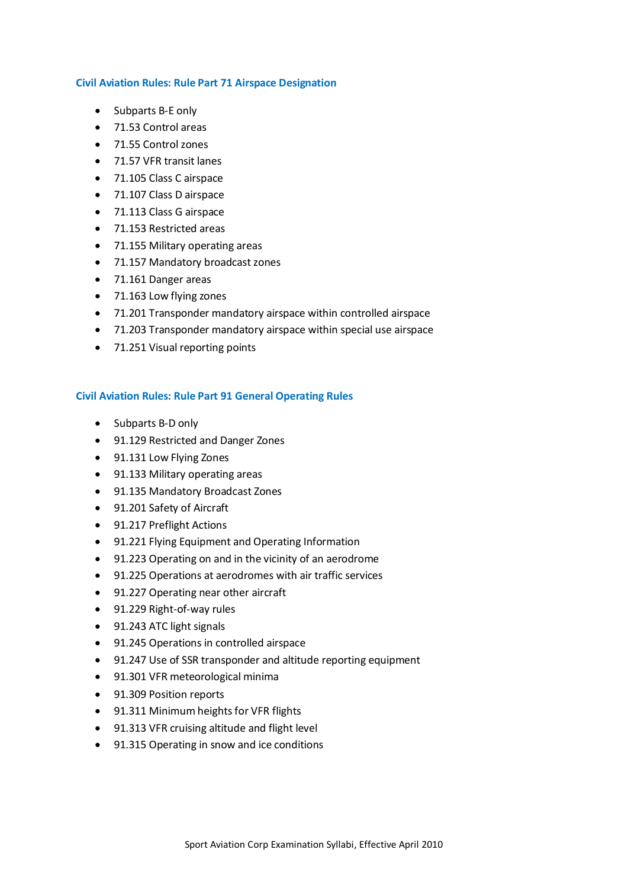#### **Civil Aviation Rules: Rule Part 71 Airspace Designation**

- Subparts B-E only
- 71.53 Control areas
- 71.55 Control zones
- 71.57 VFR transit lanes
- 71.105 Class C airspace
- 71.107 Class D airspace
- 71.113 Class G airspace
- 71.153 Restricted areas
- 71.155 Military operating areas
- 71.157 Mandatory broadcast zones
- 71.161 Danger areas
- 71.163 Low flying zones
- 71.201 Transponder mandatory airspace within controlled airspace
- 71.203 Transponder mandatory airspace within special use airspace
- 71.251 Visual reporting points

## **Civil Aviation Rules: Rule Part 91 General Operating Rules**

- Subparts B-D only
- 91.129 Restricted and Danger Zones
- 91.131 Low Flying Zones
- 91.133 Military operating areas
- 91.135 Mandatory Broadcast Zones
- 91.201 Safety of Aircraft
- 91.217 Preflight Actions
- 91.221 Flying Equipment and Operating Information
- 91.223 Operating on and in the vicinity of an aerodrome
- 91.225 Operations at aerodromes with air traffic services
- 91.227 Operating near other aircraft
- 91.229 Right-of-way rules
- 91.243 ATC light signals
- 91.245 Operations in controlled airspace
- 91.247 Use of SSR transponder and altitude reporting equipment
- 91.301 VFR meteorological minima
- 91.309 Position reports
- 91.311 Minimum heights for VFR flights
- 91.313 VFR cruising altitude and flight level
- 91.315 Operating in snow and ice conditions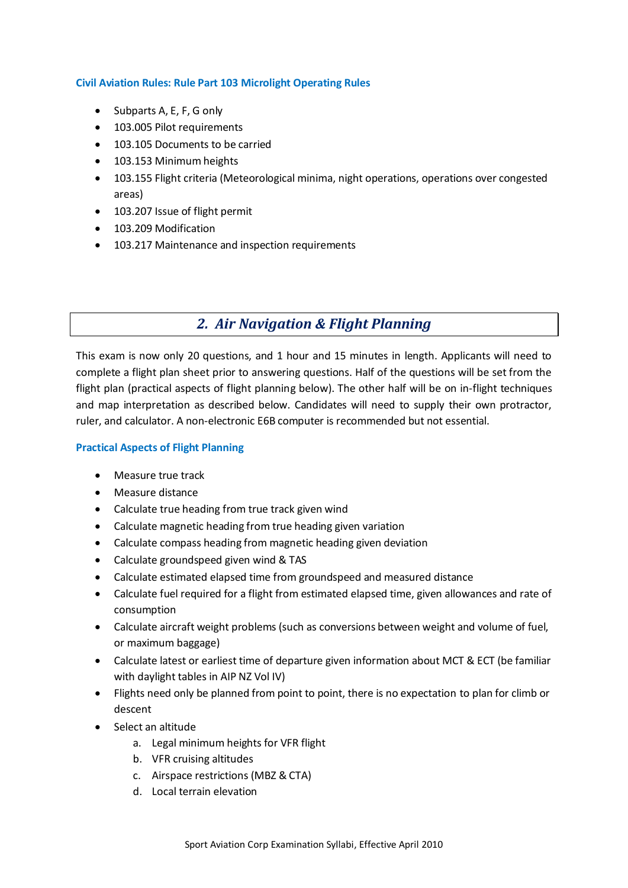### **Civil Aviation Rules: Rule Part 103 Microlight Operating Rules**

- $\bullet$  Subparts A, E, F, G only
- 103.005 Pilot requirements
- 103.105 Documents to be carried
- 103.153 Minimum heights
- 103.155 Flight criteria (Meteorological minima, night operations, operations over congested areas)
- 103.207 Issue of flight permit
- 103.209 Modification
- 103.217 Maintenance and inspection requirements

# *2. Air Navigation & Flight Planning*

This exam is now only 20 questions, and 1 hour and 15 minutes in length. Applicants will need to complete a flight plan sheet prior to answering questions. Half of the questions will be set from the flight plan (practical aspects of flight planning below). The other half will be on in-flight techniques and map interpretation as described below. Candidates will need to supply their own protractor, ruler, and calculator. A non-electronic E6B computer is recommended but not essential.

## **Practical Aspects of Flight Planning**

- Measure true track
- Measure distance
- Calculate true heading from true track given wind
- Calculate magnetic heading from true heading given variation
- Calculate compass heading from magnetic heading given deviation
- Calculate groundspeed given wind & TAS
- Calculate estimated elapsed time from groundspeed and measured distance
- Calculate fuel required for a flight from estimated elapsed time, given allowances and rate of consumption
- Calculate aircraft weight problems (such as conversions between weight and volume of fuel, or maximum baggage)
- Calculate latest or earliest time of departure given information about MCT & ECT (be familiar with daylight tables in AIP NZ Vol IV)
- Flights need only be planned from point to point, there is no expectation to plan for climb or descent
- Select an altitude
	- a. Legal minimum heights for VFR flight
	- b. VFR cruising altitudes
	- c. Airspace restrictions (MBZ & CTA)
	- d. Local terrain elevation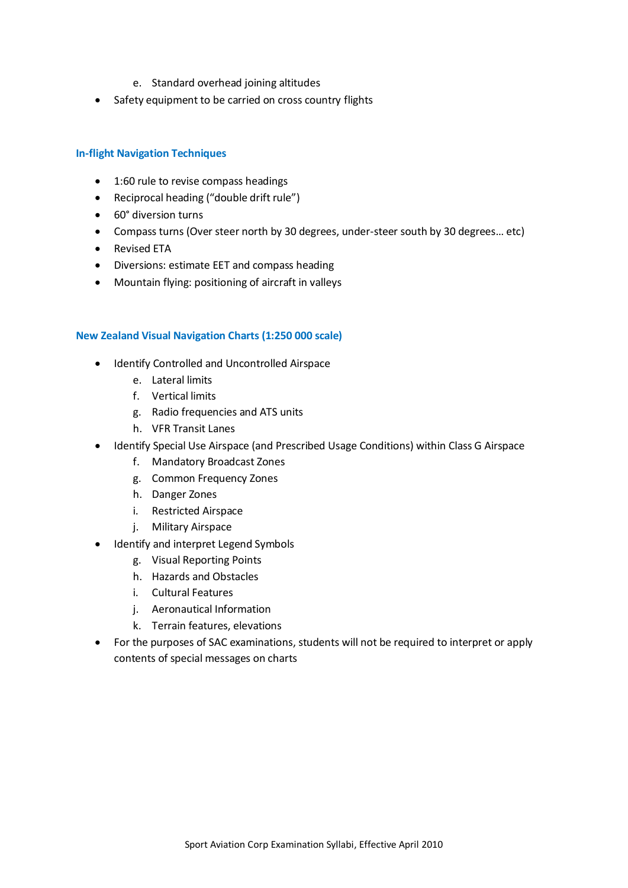- e. Standard overhead joining altitudes
- Safety equipment to be carried on cross country flights

### **In-flight Navigation Techniques**

- 1:60 rule to revise compass headings
- Reciprocal heading ("double drift rule")
- 60° diversion turns
- Compass turns (Over steer north by 30 degrees, under-steer south by 30 degrees… etc)
- Revised ETA
- Diversions: estimate EET and compass heading
- Mountain flying: positioning of aircraft in valleys

#### **New Zealand Visual Navigation Charts (1:250 000 scale)**

- Identify Controlled and Uncontrolled Airspace
	- e. Lateral limits
	- f. Vertical limits
	- g. Radio frequencies and ATS units
	- h. VFR Transit Lanes
- Identify Special Use Airspace (and Prescribed Usage Conditions) within Class G Airspace
	- f. Mandatory Broadcast Zones
	- g. Common Frequency Zones
	- h. Danger Zones
	- i. Restricted Airspace
	- j. Military Airspace
- Identify and interpret Legend Symbols
	- g. Visual Reporting Points
	- h. Hazards and Obstacles
	- i. Cultural Features
	- j. Aeronautical Information
	- k. Terrain features, elevations
- For the purposes of SAC examinations, students will not be required to interpret or apply contents of special messages on charts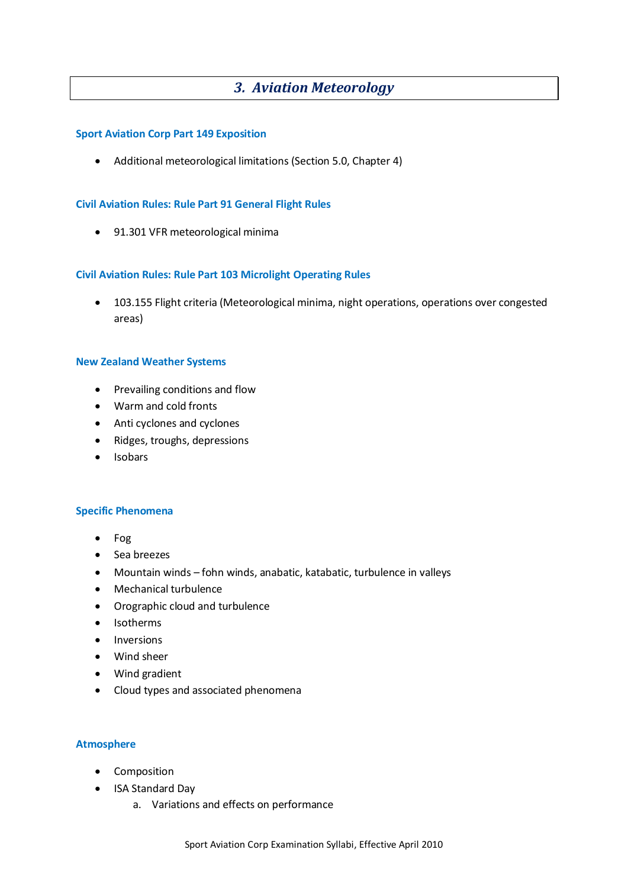## *3. Aviation Meteorology*

#### **Sport Aviation Corp Part 149 Exposition**

Additional meteorological limitations (Section 5.0, Chapter 4)

### **Civil Aviation Rules: Rule Part 91 General Flight Rules**

91.301 VFR meteorological minima

## **Civil Aviation Rules: Rule Part 103 Microlight Operating Rules**

 103.155 Flight criteria (Meteorological minima, night operations, operations over congested areas)

#### **New Zealand Weather Systems**

- Prevailing conditions and flow
- Warm and cold fronts
- Anti cyclones and cyclones
- Ridges, troughs, depressions
- Isobars

#### **Specific Phenomena**

- Fog
- Sea breezes
- Mountain winds fohn winds, anabatic, katabatic, turbulence in valleys
- Mechanical turbulence
- Orographic cloud and turbulence
- Isotherms
- Inversions
- Wind sheer
- Wind gradient
- Cloud types and associated phenomena

## **Atmosphere**

- Composition
- ISA Standard Day
	- a. Variations and effects on performance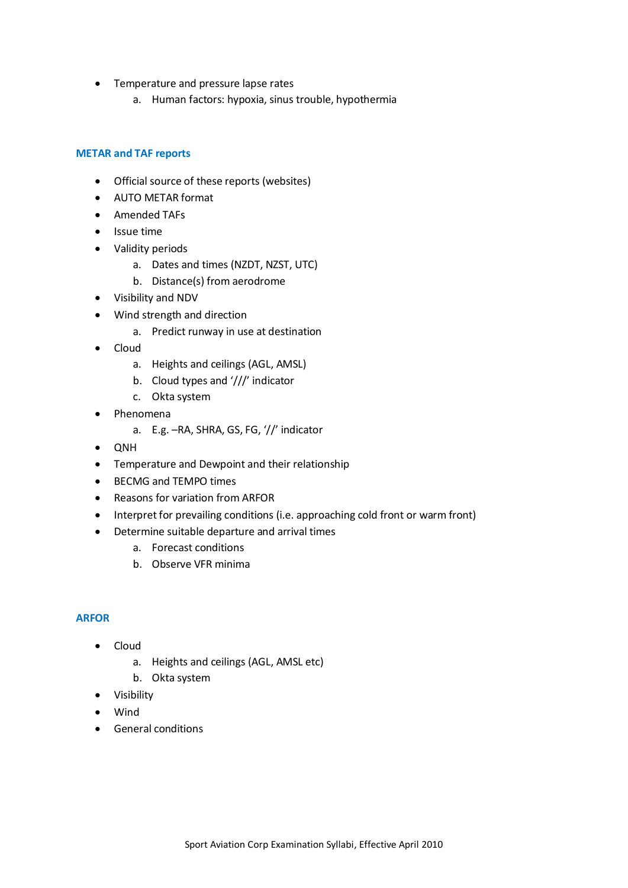- **•** Temperature and pressure lapse rates
	- a. Human factors: hypoxia, sinus trouble, hypothermia

## **METAR and TAF reports**

- Official source of these reports (websites)
- AUTO METAR format
- Amended TAFs
- Issue time
- Validity periods
	- a. Dates and times (NZDT, NZST, UTC)
	- b. Distance(s) from aerodrome
- Visibility and NDV
- Wind strength and direction
	- a. Predict runway in use at destination
- Cloud
	- a. Heights and ceilings (AGL, AMSL)
	- b. Cloud types and '///' indicator
	- c. Okta system
- Phenomena
	- a. E.g. –RA, SHRA, GS, FG, '//' indicator
- QNH
- Temperature and Dewpoint and their relationship
- BECMG and TEMPO times
- Reasons for variation from ARFOR
- Interpret for prevailing conditions (i.e. approaching cold front or warm front)
- Determine suitable departure and arrival times
	- a. Forecast conditions
	- b. Observe VFR minima

#### **ARFOR**

- Cloud
	- a. Heights and ceilings (AGL, AMSL etc)
	- b. Okta system
- Visibility
- Wind
- General conditions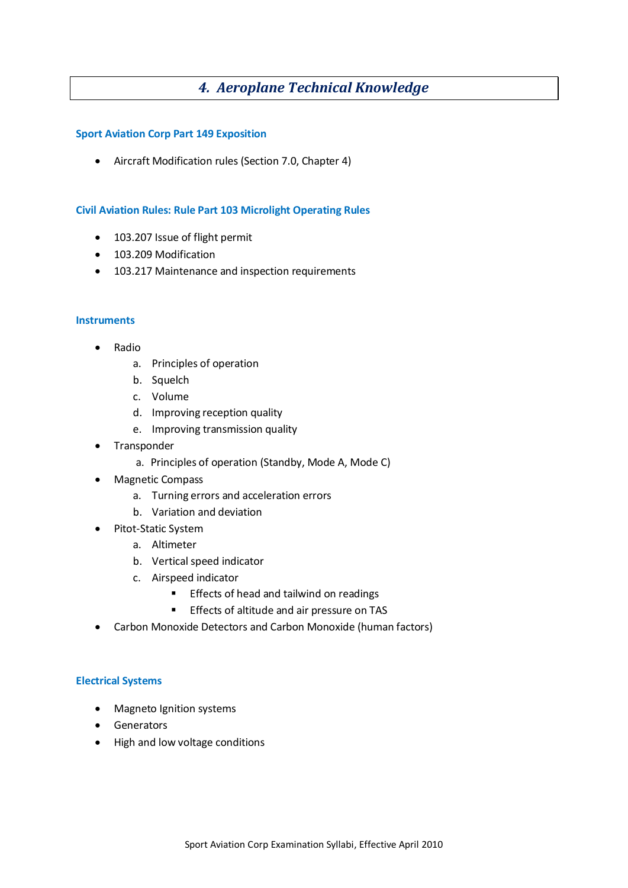# *4. Aeroplane Technical Knowledge*

### **Sport Aviation Corp Part 149 Exposition**

Aircraft Modification rules (Section 7.0, Chapter 4)

## **Civil Aviation Rules: Rule Part 103 Microlight Operating Rules**

- 103.207 Issue of flight permit
- 103.209 Modification
- 103.217 Maintenance and inspection requirements

#### **Instruments**

- Radio
	- a. Principles of operation
	- b. Squelch
	- c. Volume
	- d. Improving reception quality
	- e. Improving transmission quality
- Transponder
	- a. Principles of operation (Standby, Mode A, Mode C)
- Magnetic Compass
	- a. Turning errors and acceleration errors
	- b. Variation and deviation
- Pitot-Static System
	- a. Altimeter
	- b. Vertical speed indicator
	- c. Airspeed indicator
		- **Effects of head and tailwind on readings**
		- **Effects of altitude and air pressure on TAS**
- Carbon Monoxide Detectors and Carbon Monoxide (human factors)

#### **Electrical Systems**

- Magneto Ignition systems
- **•** Generators
- High and low voltage conditions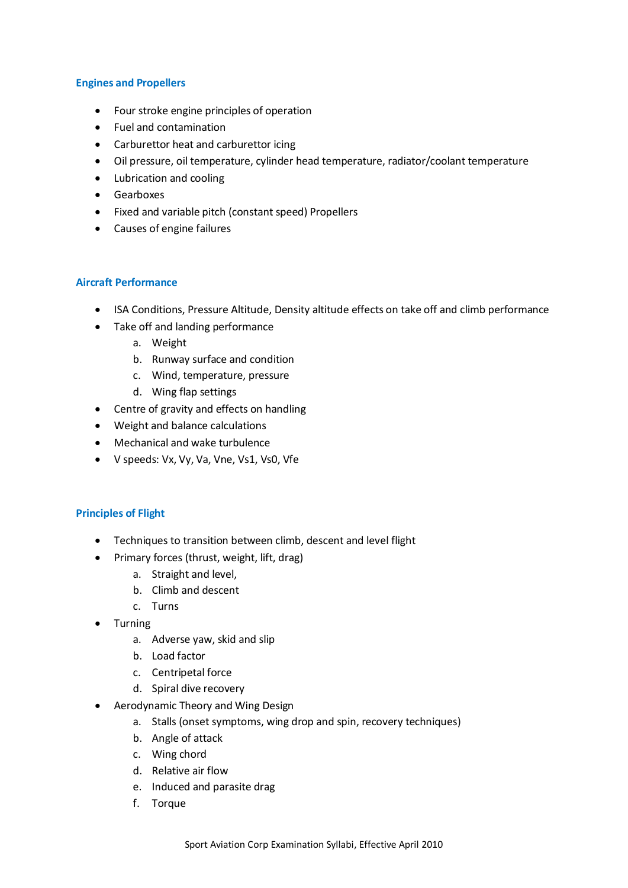## **Engines and Propellers**

- Four stroke engine principles of operation
- Fuel and contamination
- Carburettor heat and carburettor icing
- Oil pressure, oil temperature, cylinder head temperature, radiator/coolant temperature
- Lubrication and cooling
- **•** Gearboxes
- Fixed and variable pitch (constant speed) Propellers
- Causes of engine failures

#### **Aircraft Performance**

- ISA Conditions, Pressure Altitude, Density altitude effects on take off and climb performance
- Take off and landing performance
	- a. Weight
	- b. Runway surface and condition
	- c. Wind, temperature, pressure
	- d. Wing flap settings
- Centre of gravity and effects on handling
- Weight and balance calculations
- Mechanical and wake turbulence
- V speeds: Vx, Vy, Va, Vne, Vs1, Vs0, Vfe

#### **Principles of Flight**

- Techniques to transition between climb, descent and level flight
- Primary forces (thrust, weight, lift, drag)
	- a. Straight and level,
	- b. Climb and descent
	- c. Turns
- Turning
	- a. Adverse yaw, skid and slip
	- b. Load factor
	- c. Centripetal force
	- d. Spiral dive recovery
- Aerodynamic Theory and Wing Design
	- a. Stalls (onset symptoms, wing drop and spin, recovery techniques)
	- b. Angle of attack
	- c. Wing chord
	- d. Relative air flow
	- e. Induced and parasite drag
	- f. Torque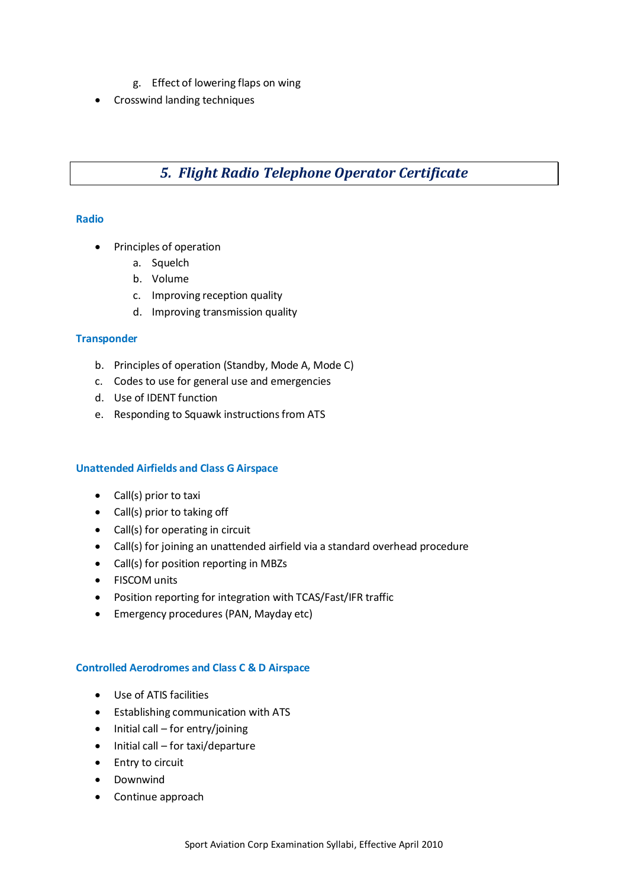- g. Effect of lowering flaps on wing
- Crosswind landing techniques

# *5. Flight Radio Telephone Operator Certificate*

## **Radio**

- Principles of operation
	- a. Squelch
	- b. Volume
	- c. Improving reception quality
	- d. Improving transmission quality

## **Transponder**

- b. Principles of operation (Standby, Mode A, Mode C)
- c. Codes to use for general use and emergencies
- d. Use of IDENT function
- e. Responding to Squawk instructions from ATS

## **Unattended Airfields and Class G Airspace**

- Call(s) prior to taxi
- Call(s) prior to taking off
- Call(s) for operating in circuit
- Call(s) for joining an unattended airfield via a standard overhead procedure
- Call(s) for position reporting in MBZs
- FISCOM units
- Position reporting for integration with TCAS/Fast/IFR traffic
- Emergency procedures (PAN, Mayday etc)

#### **Controlled Aerodromes and Class C & D Airspace**

- Use of ATIS facilities
- Establishing communication with ATS
- $\bullet$  Initial call for entry/joining
- $\bullet$  Initial call for taxi/departure
- Entry to circuit
- Downwind
- Continue approach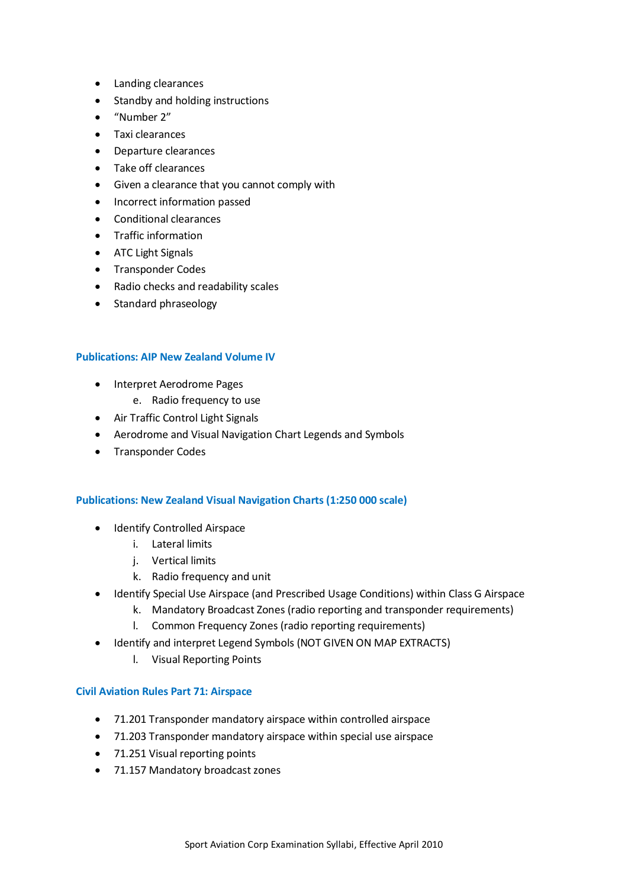- Landing clearances
- Standby and holding instructions
- "Number 2"
- Taxi clearances
- Departure clearances
- Take off clearances
- Given a clearance that you cannot comply with
- Incorrect information passed
- Conditional clearances
- Traffic information
- ATC Light Signals
- Transponder Codes
- Radio checks and readability scales
- Standard phraseology

#### **Publications: AIP New Zealand Volume IV**

- Interpret Aerodrome Pages
	- e. Radio frequency to use
- Air Traffic Control Light Signals
- Aerodrome and Visual Navigation Chart Legends and Symbols
- Transponder Codes

#### **Publications: New Zealand Visual Navigation Charts (1:250 000 scale)**

- Identify Controlled Airspace
	- i. Lateral limits
	- j. Vertical limits
	- k. Radio frequency and unit
- Identify Special Use Airspace (and Prescribed Usage Conditions) within Class G Airspace
	- k. Mandatory Broadcast Zones (radio reporting and transponder requirements)
	- l. Common Frequency Zones (radio reporting requirements)
- $\bullet$  Identify and interpret Legend Symbols (NOT GIVEN ON MAP EXTRACTS)
	- l. Visual Reporting Points

#### **Civil Aviation Rules Part 71: Airspace**

- 71.201 Transponder mandatory airspace within controlled airspace
- 71.203 Transponder mandatory airspace within special use airspace
- 71.251 Visual reporting points
- 71.157 Mandatory broadcast zones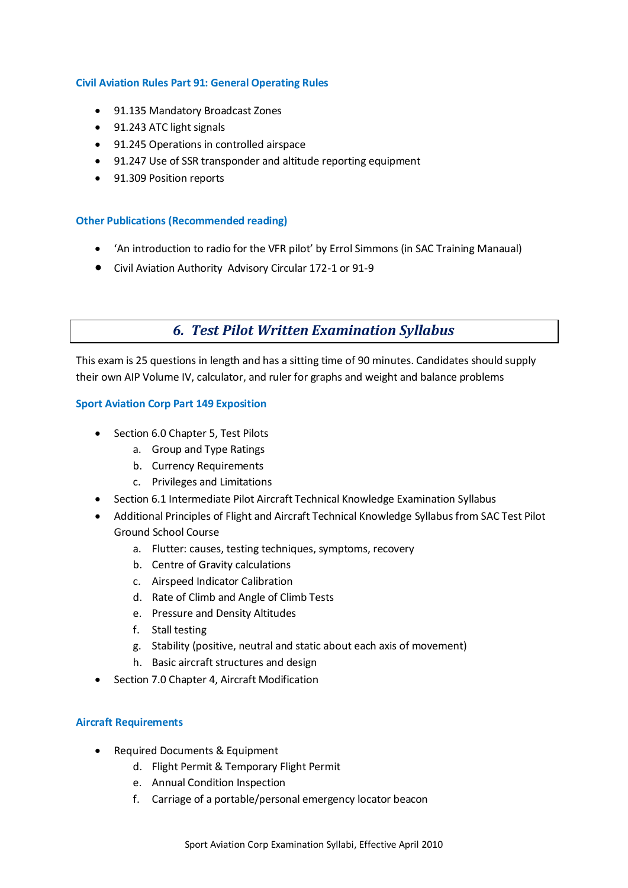## **Civil Aviation Rules Part 91: General Operating Rules**

- 91.135 Mandatory Broadcast Zones
- 91.243 ATC light signals
- 91.245 Operations in controlled airspace
- 91.247 Use of SSR transponder and altitude reporting equipment
- 91.309 Position reports

#### **Other Publications (Recommended reading)**

- 'An introduction to radio for the VFR pilot' by Errol Simmons (in SAC Training Manaual)
- Civil Aviation Authority Advisory Circular 172-1 or 91-9

## *6. Test Pilot Written Examination Syllabus*

This exam is 25 questions in length and has a sitting time of 90 minutes. Candidates should supply their own AIP Volume IV, calculator, and ruler for graphs and weight and balance problems

#### **Sport Aviation Corp Part 149 Exposition**

- Section 6.0 Chapter 5, Test Pilots
	- a. Group and Type Ratings
	- b. Currency Requirements
	- c. Privileges and Limitations
- Section 6.1 Intermediate Pilot Aircraft Technical Knowledge Examination Syllabus
- Additional Principles of Flight and Aircraft Technical Knowledge Syllabus from SAC Test Pilot Ground School Course
	- a. Flutter: causes, testing techniques, symptoms, recovery
	- b. Centre of Gravity calculations
	- c. Airspeed Indicator Calibration
	- d. Rate of Climb and Angle of Climb Tests
	- e. Pressure and Density Altitudes
	- f. Stall testing
	- g. Stability (positive, neutral and static about each axis of movement)
	- h. Basic aircraft structures and design
- Section 7.0 Chapter 4, Aircraft Modification

#### **Aircraft Requirements**

- Required Documents & Equipment
	- d. Flight Permit & Temporary Flight Permit
	- e. Annual Condition Inspection
	- f. Carriage of a portable/personal emergency locator beacon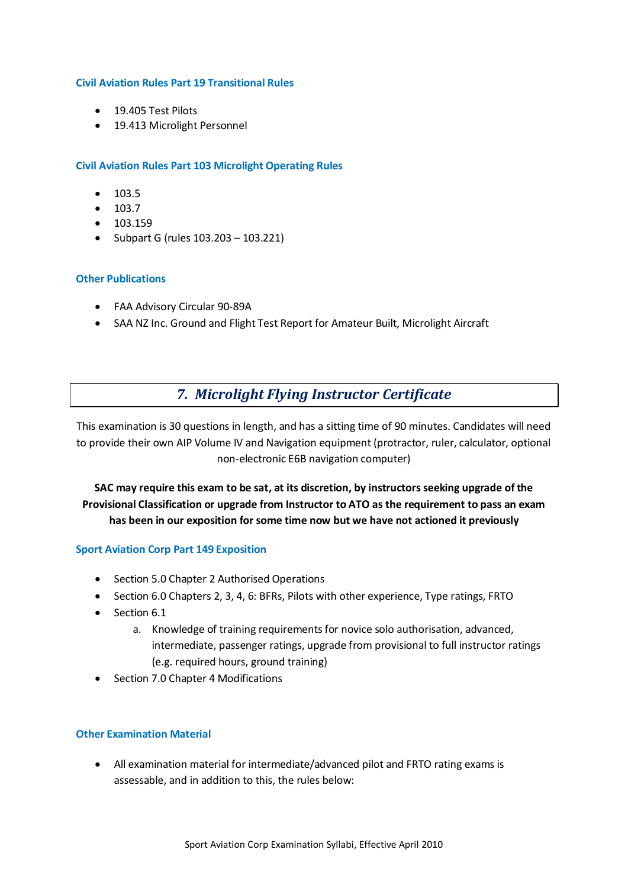#### **Civil Aviation Rules Part 19 Transitional Rules**

- 19.405 Test Pilots
- 19.413 Microlight Personnel

## **Civil Aviation Rules Part 103 Microlight Operating Rules**

- $103.5$
- $103.7$
- $103.159$
- Subpart G (rules  $103.203 103.221$ )

## **Other Publications**

- FAA Advisory Circular 90-89A
- SAA NZ Inc. Ground and Flight Test Report for Amateur Built, Microlight Aircraft

## *7. Microlight Flying Instructor Certificate*

This examination is 30 questions in length, and has a sitting time of 90 minutes. Candidates will need to provide their own AIP Volume IV and Navigation equipment (protractor, ruler, calculator, optional non-electronic E6B navigation computer)

**SAC may require this exam to be sat, at its discretion, by instructors seeking upgrade of the Provisional Classification or upgrade from Instructor to ATO as the requirement to pass an exam has been in our exposition for some time now but we have not actioned it previously**

#### **Sport Aviation Corp Part 149 Exposition**

- Section 5.0 Chapter 2 Authorised Operations
- Section 6.0 Chapters 2, 3, 4, 6: BFRs, Pilots with other experience, Type ratings, FRTO
- Section 6.1
	- a. Knowledge of training requirements for novice solo authorisation, advanced, intermediate, passenger ratings, upgrade from provisional to full instructor ratings (e.g. required hours, ground training)
- Section 7.0 Chapter 4 Modifications

#### **Other Examination Material**

 All examination material for intermediate/advanced pilot and FRTO rating exams is assessable, and in addition to this, the rules below: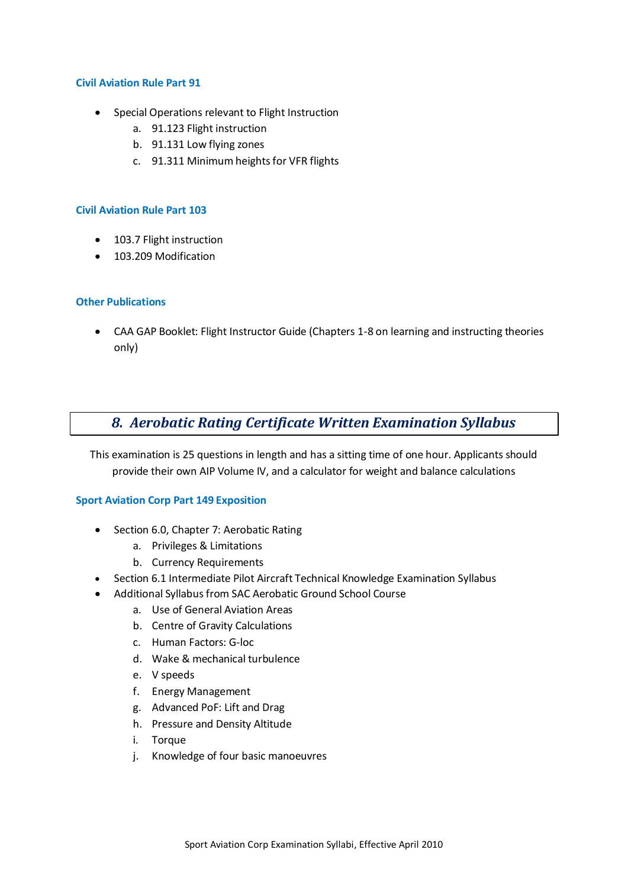#### **Civil Aviation Rule Part 91**

- Special Operations relevant to Flight Instruction
	- a. 91.123 Flight instruction
	- b. 91.131 Low flying zones
	- c. 91.311 Minimum heights for VFR flights

#### **Civil Aviation Rule Part 103**

- 103.7 Flight instruction
- 103.209 Modification

#### **Other Publications**

 CAA GAP Booklet: Flight Instructor Guide (Chapters 1-8 on learning and instructing theories only)

## *8. Aerobatic Rating Certificate Written Examination Syllabus*

This examination is 25 questions in length and has a sitting time of one hour. Applicants should provide their own AIP Volume IV, and a calculator for weight and balance calculations

#### **Sport Aviation Corp Part 149 Exposition**

- Section 6.0, Chapter 7: Aerobatic Rating
	- a. Privileges & Limitations
	- b. Currency Requirements
- Section 6.1 Intermediate Pilot Aircraft Technical Knowledge Examination Syllabus
- Additional Syllabus from SAC Aerobatic Ground School Course
	- a. Use of General Aviation Areas
	- b. Centre of Gravity Calculations
	- c. Human Factors: G-loc
	- d. Wake & mechanical turbulence
	- e. V speeds
	- f. Energy Management
	- g. Advanced PoF: Lift and Drag
	- h. Pressure and Density Altitude
	- i. Torque
	- j. Knowledge of four basic manoeuvres